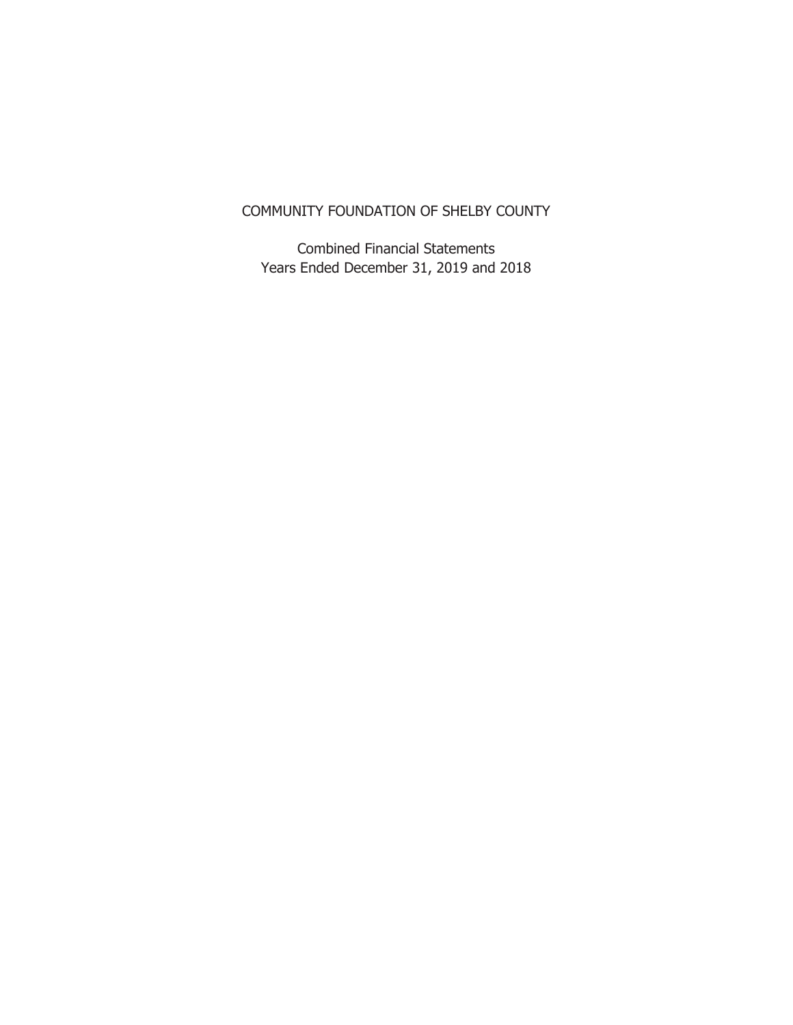## COMMUNITY FOUNDATION OF SHELBY COUNTY

Combined Financial Statements Years Ended December 31, 2019 and 2018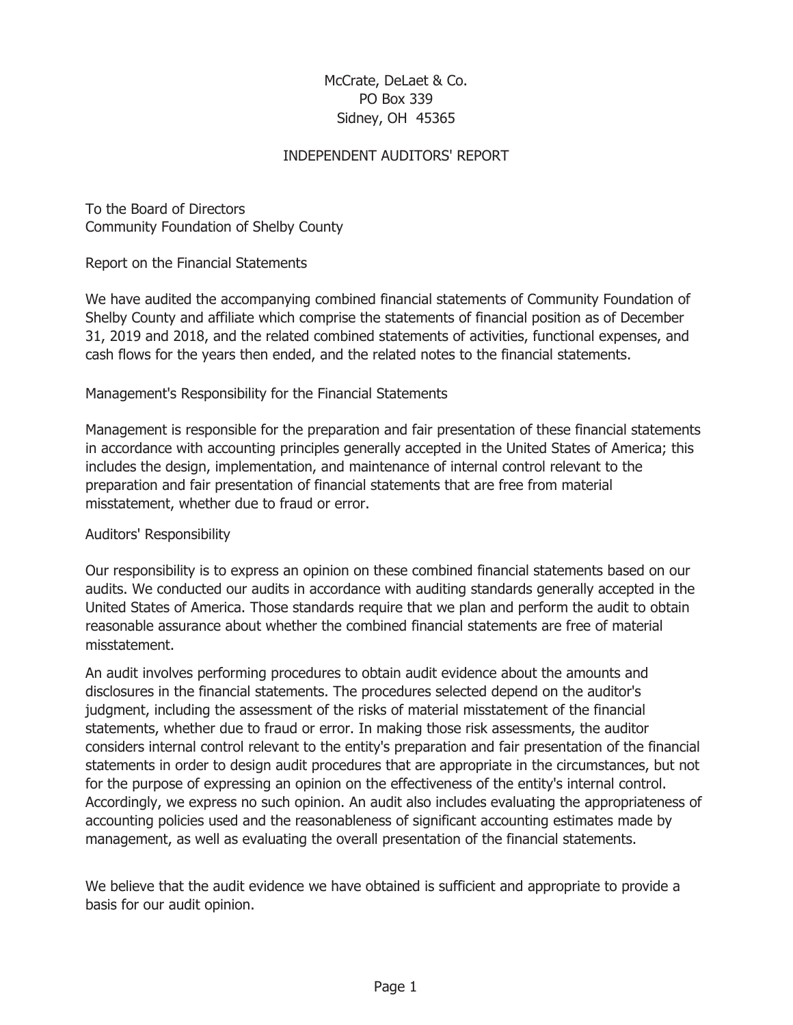## McCrate, DeLaet & Co. PO Box 339 Sidney, OH 45365

#### INDEPENDENT AUDITORS' REPORT

To the Board of Directors Community Foundation of Shelby County

Report on the Financial Statements

We have audited the accompanying combined financial statements of Community Foundation of Shelby County and affiliate which comprise the statements of financial position as of December 31, 2019 and 2018, and the related combined statements of activities, functional expenses, and cash flows for the years then ended, and the related notes to the financial statements.

#### Management's Responsibility for the Financial Statements

Management is responsible for the preparation and fair presentation of these financial statements in accordance with accounting principles generally accepted in the United States of America; this includes the design, implementation, and maintenance of internal control relevant to the preparation and fair presentation of financial statements that are free from material misstatement, whether due to fraud or error.

#### Auditors' Responsibility

Our responsibility is to express an opinion on these combined financial statements based on our audits. We conducted our audits in accordance with auditing standards generally accepted in the United States of America. Those standards require that we plan and perform the audit to obtain reasonable assurance about whether the combined financial statements are free of material misstatement.

An audit involves performing procedures to obtain audit evidence about the amounts and disclosures in the financial statements. The procedures selected depend on the auditor's judgment, including the assessment of the risks of material misstatement of the financial statements, whether due to fraud or error. In making those risk assessments, the auditor considers internal control relevant to the entity's preparation and fair presentation of the financial statements in order to design audit procedures that are appropriate in the circumstances, but not for the purpose of expressing an opinion on the effectiveness of the entity's internal control. Accordingly, we express no such opinion. An audit also includes evaluating the appropriateness of accounting policies used and the reasonableness of significant accounting estimates made by management, as well as evaluating the overall presentation of the financial statements.

We believe that the audit evidence we have obtained is sufficient and appropriate to provide a basis for our audit opinion.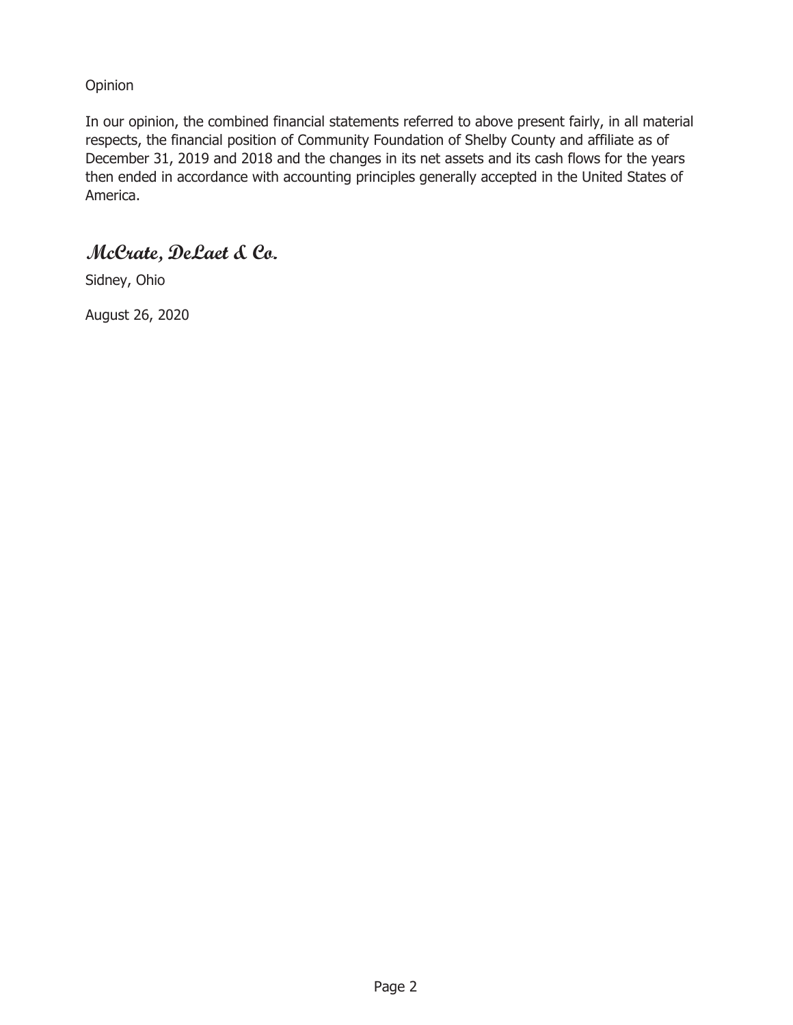Opinion

In our opinion, the combined financial statements referred to above present fairly, in all material respects, the financial position of Community Foundation of Shelby County and affiliate as of December 31, 2019 and 2018 and the changes in its net assets and its cash flows for the years then ended in accordance with accounting principles generally accepted in the United States of America.

# **McCrate, DeLaet & Co.**

Sidney, Ohio

August 26, 2020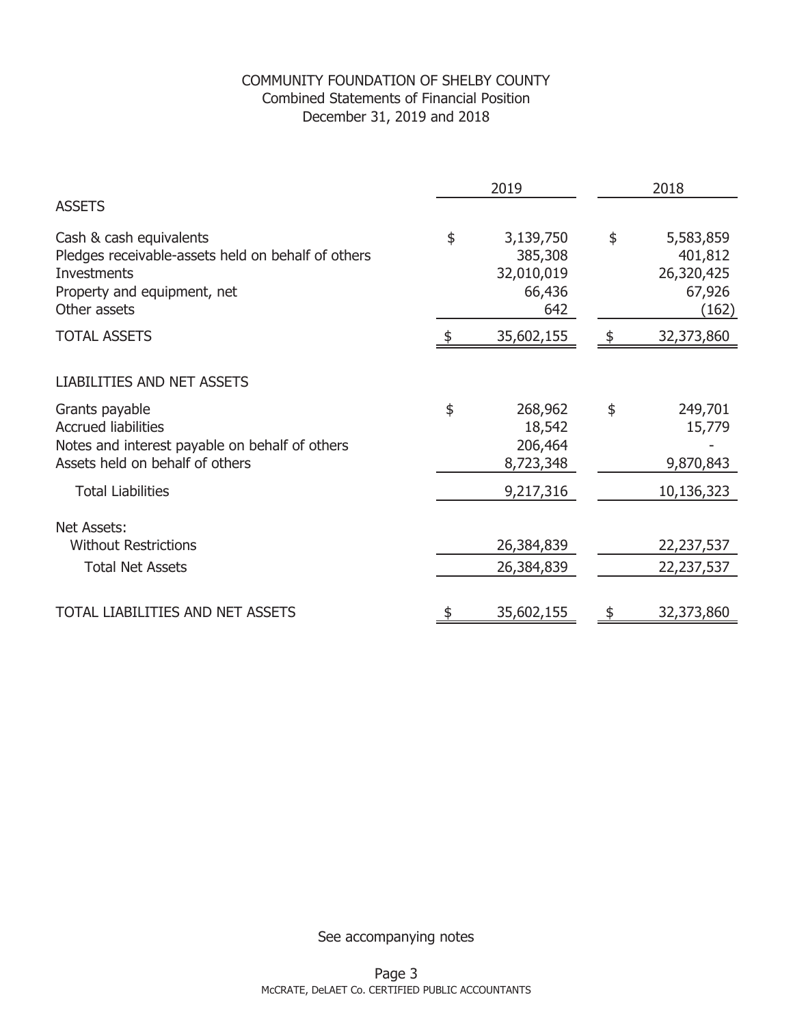### COMMUNITY FOUNDATION OF SHELBY COUNTY Combined Statements of Financial Position December 31, 2019 and 2018

|                                                                                                                                                    | 2019 |                                                     | 2018 |                                                       |
|----------------------------------------------------------------------------------------------------------------------------------------------------|------|-----------------------------------------------------|------|-------------------------------------------------------|
| <b>ASSETS</b>                                                                                                                                      |      |                                                     |      |                                                       |
| Cash & cash equivalents<br>Pledges receivable-assets held on behalf of others<br><b>Investments</b><br>Property and equipment, net<br>Other assets | \$   | 3,139,750<br>385,308<br>32,010,019<br>66,436<br>642 | \$   | 5,583,859<br>401,812<br>26,320,425<br>67,926<br>(162) |
| <b>TOTAL ASSETS</b>                                                                                                                                |      | 35,602,155                                          |      | 32,373,860                                            |
| <b>LIABILITIES AND NET ASSETS</b>                                                                                                                  |      |                                                     |      |                                                       |
| Grants payable<br><b>Accrued liabilities</b><br>Notes and interest payable on behalf of others<br>Assets held on behalf of others                  | \$   | 268,962<br>18,542<br>206,464<br>8,723,348           | \$   | 249,701<br>15,779<br>9,870,843                        |
| <b>Total Liabilities</b>                                                                                                                           |      | 9,217,316                                           |      | 10,136,323                                            |
| Net Assets:<br><b>Without Restrictions</b><br><b>Total Net Assets</b>                                                                              |      | 26,384,839<br>26,384,839                            |      | 22,237,537<br>22,237,537                              |
| TOTAL LIABILITIES AND NET ASSETS                                                                                                                   |      | 35,602,155                                          |      | 32,373,860                                            |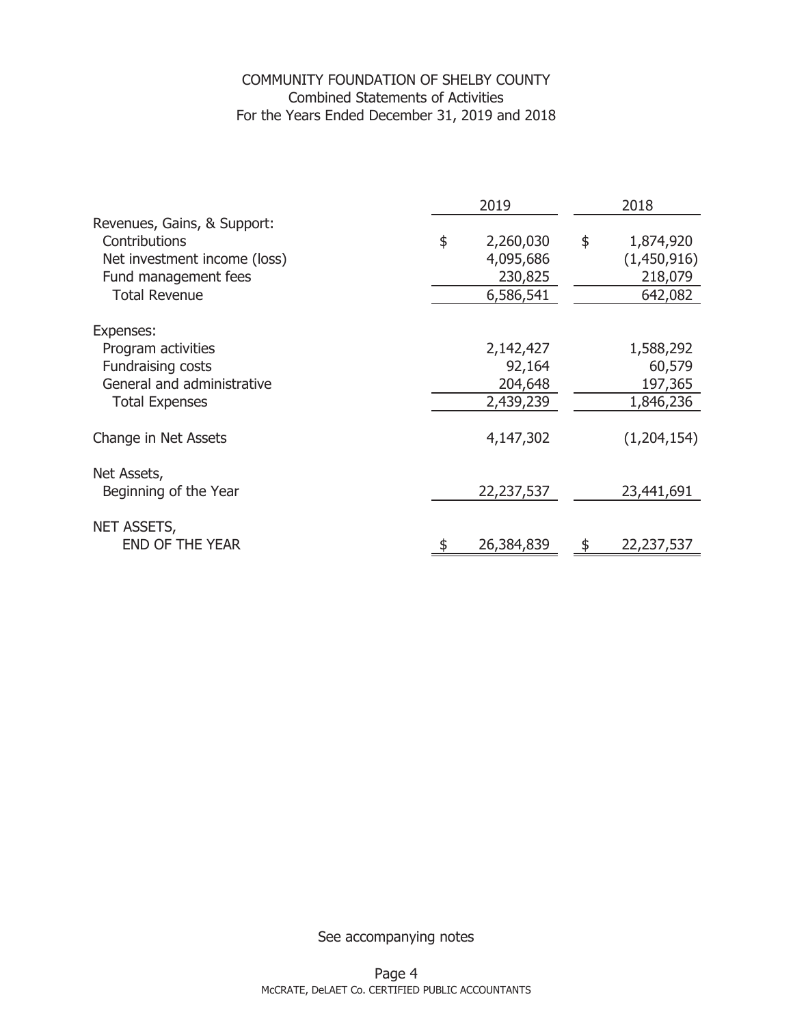### COMMUNITY FOUNDATION OF SHELBY COUNTY Combined Statements of Activities For the Years Ended December 31, 2019 and 2018

|                                                                                                                              | 2019                                                 |    | 2018                                           |  |
|------------------------------------------------------------------------------------------------------------------------------|------------------------------------------------------|----|------------------------------------------------|--|
| Revenues, Gains, & Support:<br>Contributions<br>Net investment income (loss)<br>Fund management fees<br><b>Total Revenue</b> | \$<br>2,260,030<br>4,095,686<br>230,825<br>6,586,541 | \$ | 1,874,920<br>(1,450,916)<br>218,079<br>642,082 |  |
| Expenses:<br>Program activities<br>Fundraising costs<br>General and administrative<br><b>Total Expenses</b>                  | 2,142,427<br>92,164<br>204,648<br>2,439,239          |    | 1,588,292<br>60,579<br>197,365<br>1,846,236    |  |
| Change in Net Assets                                                                                                         | 4,147,302                                            |    | (1,204,154)                                    |  |
| Net Assets,<br>Beginning of the Year                                                                                         | 22,237,537                                           |    | 23,441,691                                     |  |
| NET ASSETS,<br><b>END OF THE YEAR</b>                                                                                        | 26,384,839                                           |    | 22,237,537                                     |  |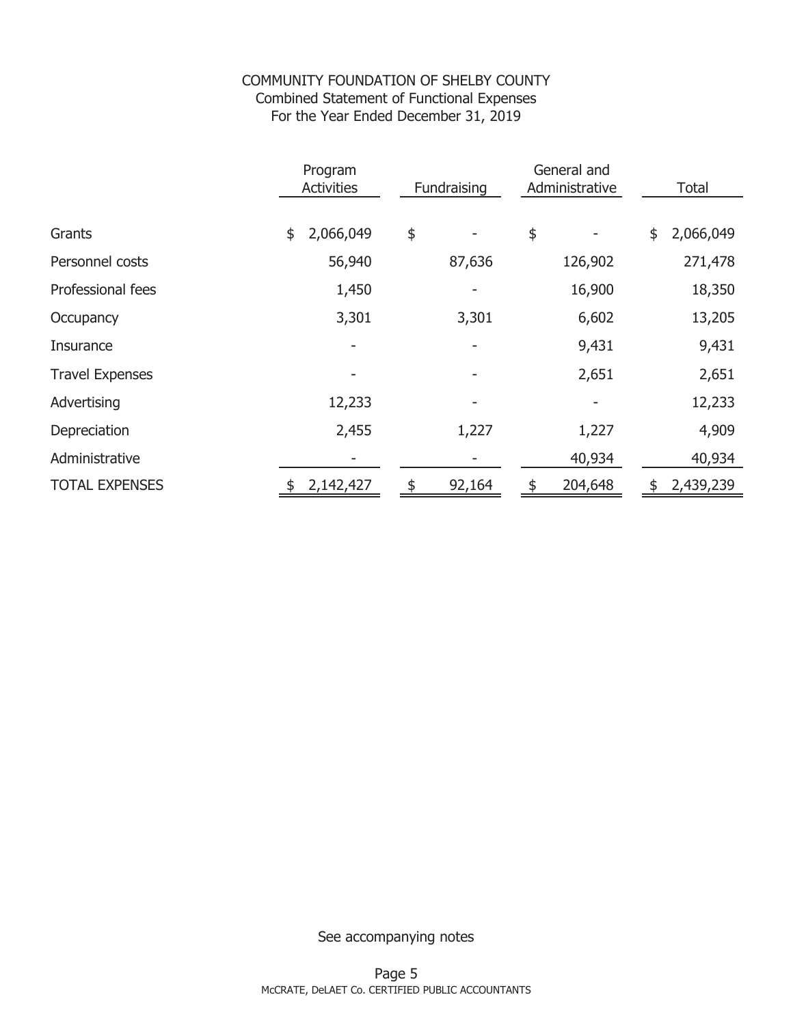### COMMUNITY FOUNDATION OF SHELBY COUNTY Combined Statement of Functional Expenses For the Year Ended December 31, 2019

|                        | Program<br><b>Activities</b> | Fundraising  | General and<br>Administrative | Total           |
|------------------------|------------------------------|--------------|-------------------------------|-----------------|
| Grants                 | 2,066,049<br>\$              | \$           | \$                            | 2,066,049<br>\$ |
| Personnel costs        | 56,940                       | 87,636       | 126,902                       | 271,478         |
| Professional fees      | 1,450                        |              | 16,900                        | 18,350          |
| Occupancy              | 3,301                        | 3,301        | 6,602                         | 13,205          |
| Insurance              |                              |              | 9,431                         | 9,431           |
| <b>Travel Expenses</b> |                              |              | 2,651                         | 2,651           |
| Advertising            | 12,233                       |              |                               | 12,233          |
| Depreciation           | 2,455                        | 1,227        | 1,227                         | 4,909           |
| Administrative         |                              |              | 40,934                        | 40,934          |
| <b>TOTAL EXPENSES</b>  | 2,142,427                    | 92,164<br>\$ | 204,648<br>S                  | 2,439,239<br>\$ |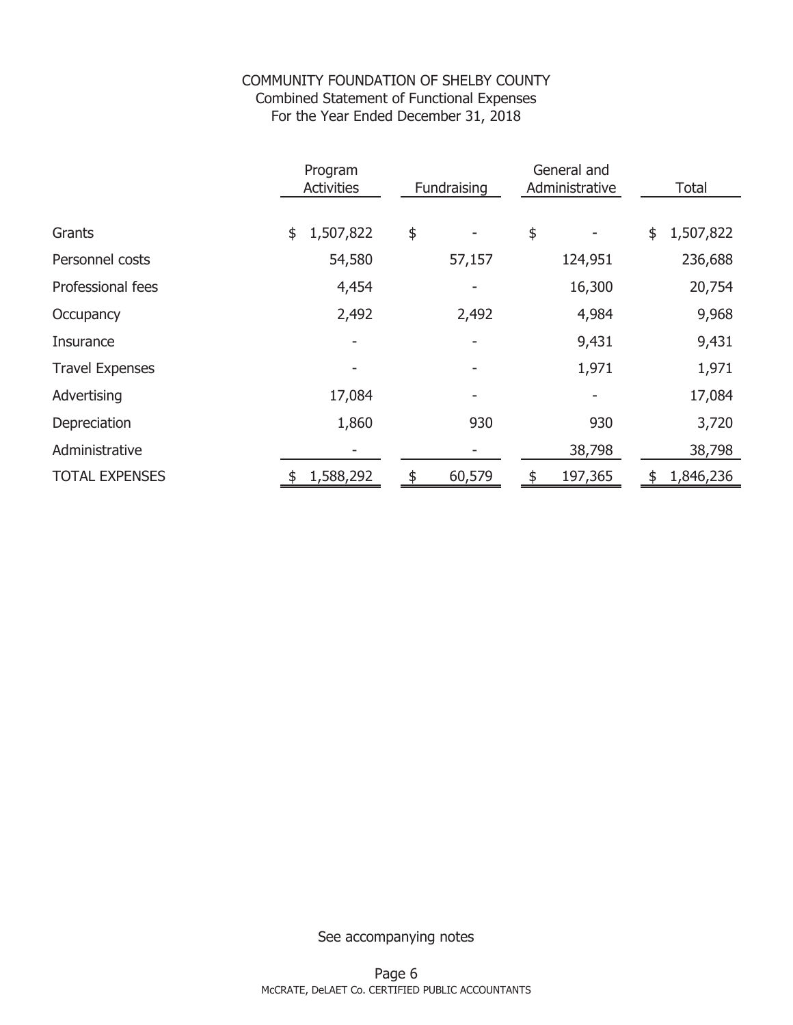### COMMUNITY FOUNDATION OF SHELBY COUNTY Combined Statement of Functional Expenses For the Year Ended December 31, 2018

|                        | Program<br><b>Activities</b> | Fundraising  | General and<br>Administrative | <b>Total</b>    |
|------------------------|------------------------------|--------------|-------------------------------|-----------------|
| Grants                 | 1,507,822<br>\$              | \$           | \$                            | 1,507,822<br>\$ |
| Personnel costs        | 54,580                       | 57,157       | 124,951                       | 236,688         |
| Professional fees      | 4,454                        |              | 16,300                        | 20,754          |
| Occupancy              | 2,492                        | 2,492        | 4,984                         | 9,968           |
| <b>Insurance</b>       |                              |              | 9,431                         | 9,431           |
| <b>Travel Expenses</b> |                              |              | 1,971                         | 1,971           |
| Advertising            | 17,084                       |              |                               | 17,084          |
| Depreciation           | 1,860                        | 930          | 930                           | 3,720           |
| Administrative         |                              |              | 38,798                        | 38,798          |
| <b>TOTAL EXPENSES</b>  | 1,588,292                    | 60,579<br>\$ | 197,365<br>\$                 | 1,846,236<br>\$ |